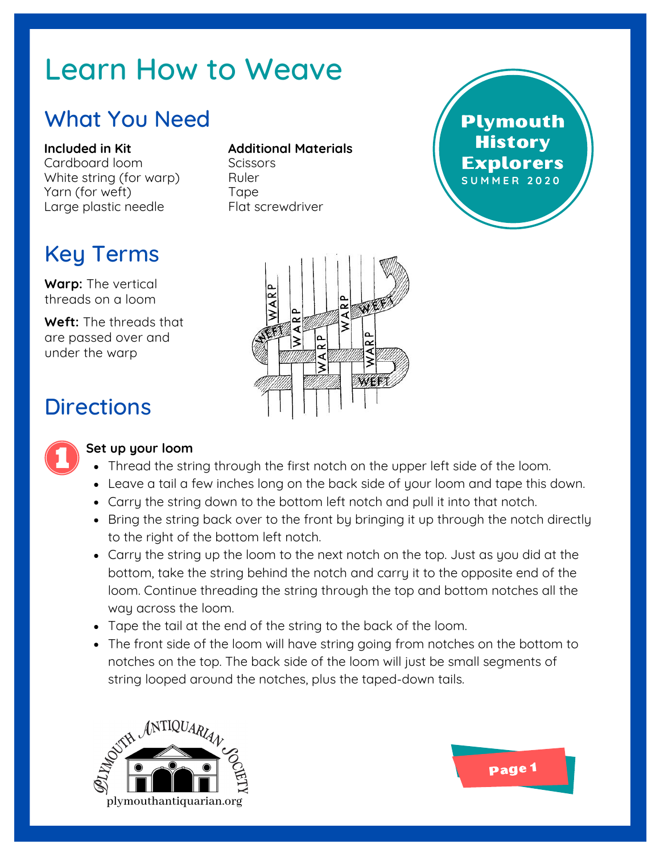# Learn How to Weave

### What You Need

**Included in Kit** Cardboard loom White string (for warp) Yarn (for weft) Large plastic needle

## Key Terms

**Warp:** The vertical threads on a loom

**Weft:** The threads that are passed over and under the warp

#### **Additional Materials**

Scissors Ruler **Tape** Flat screwdriver





### **Directions**



#### **Set up your loom**

- Thread the string through the first notch on the upper left side of the loom.
- Leave a tail a few inches long on the back side of your loom and tape this down.
- Carry the string down to the bottom left notch and pull it into that notch.
- Bring the string back over to the front by bringing it up through the notch directly to the right of the bottom left notch.
- Carry the string up the loom to the next notch on the top. Just as you did at the bottom, take the string behind the notch and carry it to the opposite end of the loom. Continue threading the string through the top and bottom notches all the way across the loom.
- Tape the tail at the end of the string to the back of the loom.
- The front side of the loom will have string going from notches on the bottom to notches on the top. The back side of the loom will just be small segments of string looped around the notches, plus the taped-down tails.



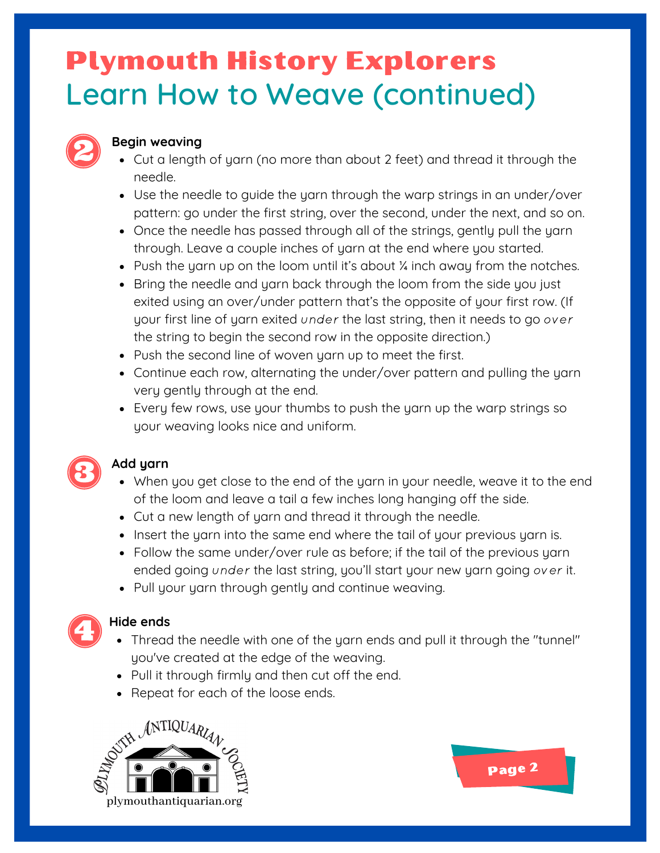# Learn How to Weave (continued) Plymouth History Explorers



#### **Begin weaving**

- Cut a length of yarn (no more than about 2 feet) and thread it through the needle.
- Use the needle to guide the yarn through the warp strings in an under/over pattern: go under the first string, over the second, under the next, and so on.
- Once the needle has passed through all of the strings, gently pull the yarn through. Leave a couple inches of yarn at the end where you started.
- $\bullet$  Push the yarn up on the loom until it's about  $\frac{1}{4}$  inch away from the notches.
- Bring the needle and yarn back through the loom from the side you just exited using an over/under pattern that's the opposite of your first row. (If your first line of yarn exited under the last string, then it needs to go over the string to begin the second row in the opposite direction.)
- Push the second line of woven yarn up to meet the first.
- Continue each row, alternating the under/over pattern and pulling the yarn very gently through at the end.
- Every few rows, use your thumbs to push the yarn up the warp strings so your weaving looks nice and uniform.



#### **Add yarn**

- When you get close to the end of the yarn in your needle, weave it to the end of the loom and leave a tail a few inches long hanging off the side.
- Cut a new length of yarn and thread it through the needle.
- Insert the yarn into the same end where the tail of your previous yarn is.
- Follow the same under/over rule as before; if the tail of the previous yarn ended going under the last string, you'll start your new yarn going over it.
- Pull your yarn through gently and continue weaving.



#### **Hide ends**

- Thread the needle with one of the yarn ends and pull it through the "tunnel" you've created at the edge of the weaving.
- Pull it through firmly and then cut off the end.
- Repeat for each of the loose ends.